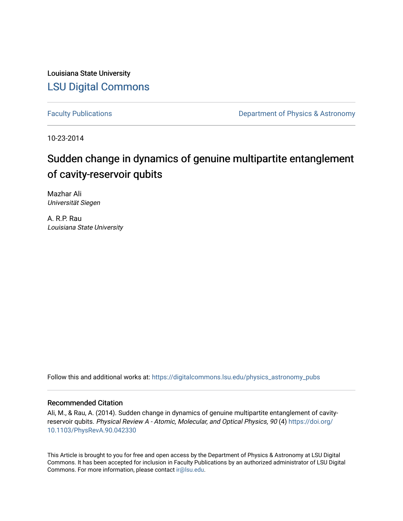Louisiana State University [LSU Digital Commons](https://digitalcommons.lsu.edu/)

[Faculty Publications](https://digitalcommons.lsu.edu/physics_astronomy_pubs) **Exercise 2 and Table 2 and Table 2 and Table 2 and Table 2 and Table 2 and Table 2 and Table 2 and Table 2 and Table 2 and Table 2 and Table 2 and Table 2 and Table 2 and Table 2 and Table 2 and Table** 

10-23-2014

# Sudden change in dynamics of genuine multipartite entanglement of cavity-reservoir qubits

Mazhar Ali Universität Siegen

A. R.P. Rau Louisiana State University

Follow this and additional works at: [https://digitalcommons.lsu.edu/physics\\_astronomy\\_pubs](https://digitalcommons.lsu.edu/physics_astronomy_pubs?utm_source=digitalcommons.lsu.edu%2Fphysics_astronomy_pubs%2F4493&utm_medium=PDF&utm_campaign=PDFCoverPages) 

### Recommended Citation

Ali, M., & Rau, A. (2014). Sudden change in dynamics of genuine multipartite entanglement of cavityreservoir qubits. Physical Review A - Atomic, Molecular, and Optical Physics, 90 (4) [https://doi.org/](https://doi.org/10.1103/PhysRevA.90.042330) [10.1103/PhysRevA.90.042330](https://doi.org/10.1103/PhysRevA.90.042330)

This Article is brought to you for free and open access by the Department of Physics & Astronomy at LSU Digital Commons. It has been accepted for inclusion in Faculty Publications by an authorized administrator of LSU Digital Commons. For more information, please contact [ir@lsu.edu](mailto:ir@lsu.edu).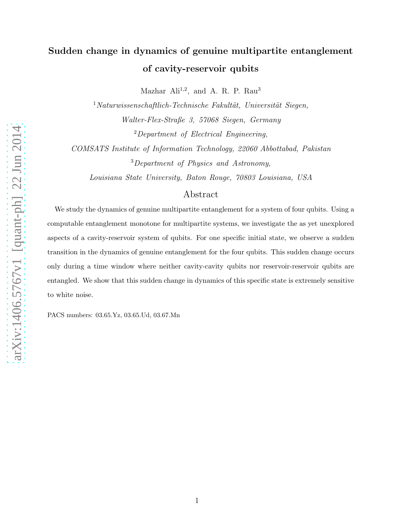# Sudden change in dynamics of genuine multipartite entanglement of cavity-reservoir qubits

Mazhar Ali<sup>1,2</sup>, and A. R. P. Rau<sup>3</sup>

 $1$ Naturwissenschaftlich-Technische Fakultät, Universität Siegen, Walter-Flex-Straße 3, 57068 Siegen, Germany  $2$ Department of Electrical Engineering,

COMSATS Institute of Information Technology, 22060 Abbottabad, Pakistan <sup>3</sup>Department of Physics and Astronomy,

Louisiana State University, Baton Rouge, 70803 Louisiana, USA

### Abstract

We study the dynamics of genuine multipartite entanglement for a system of four qubits. Using a computable entanglement monotone for multipartite systems, we investigate the as yet unexplored aspects of a cavity-reservoir system of qubits. For one specific initial state, we observe a sudden transition in the dynamics of genuine entanglement for the four qubits. This sudden change occurs only during a time window where neither cavity-cavity qubits nor reservoir-reservoir qubits are entangled. We show that this sudden change in dynamics of this specific state is extremely sensitive to white noise.

PACS numbers: 03.65.Yz, 03.65.Ud, 03.67.Mn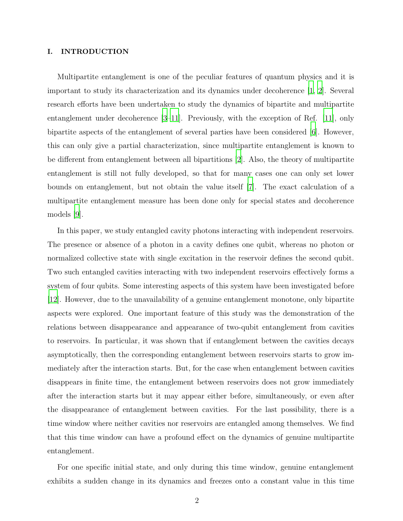### I. INTRODUCTION

Multipartite entanglement is one of the peculiar features of quantum physics and it is important to study its characterization and its dynamics under decoherence [\[1](#page-17-0), [2](#page-17-1)]. Several research efforts have been undertaken to study the dynamics of bipartite and multipartite entanglement under decoherence [\[3](#page-17-2)[–11\]](#page-18-0). Previously, with the exception of Ref. [\[11](#page-18-0)], only bipartite aspects of the entanglement of several parties have been considered [\[6\]](#page-17-3). However, this can only give a partial characterization, since multipartite entanglement is known to be different from entanglement between all bipartitions [\[2](#page-17-1)]. Also, the theory of multipartite entanglement is still not fully developed, so that for many cases one can only set lower bounds on entanglement, but not obtain the value itself [\[7\]](#page-17-4). The exact calculation of a multipartite entanglement measure has been done only for special states and decoherence models [\[9](#page-17-5)].

In this paper, we study entangled cavity photons interacting with independent reservoirs. The presence or absence of a photon in a cavity defines one qubit, whereas no photon or normalized collective state with single excitation in the reservoir defines the second qubit. Two such entangled cavities interacting with two independent reservoirs effectively forms a system of four qubits. Some interesting aspects of this system have been investigated before [\[12\]](#page-18-1). However, due to the unavailability of a genuine entanglement monotone, only bipartite aspects were explored. One important feature of this study was the demonstration of the relations between disappearance and appearance of two-qubit entanglement from cavities to reservoirs. In particular, it was shown that if entanglement between the cavities decays asymptotically, then the corresponding entanglement between reservoirs starts to grow immediately after the interaction starts. But, for the case when entanglement between cavities disappears in finite time, the entanglement between reservoirs does not grow immediately after the interaction starts but it may appear either before, simultaneously, or even after the disappearance of entanglement between cavities. For the last possibility, there is a time window where neither cavities nor reservoirs are entangled among themselves. We find that this time window can have a profound effect on the dynamics of genuine multipartite entanglement.

For one specific initial state, and only during this time window, genuine entanglement exhibits a sudden change in its dynamics and freezes onto a constant value in this time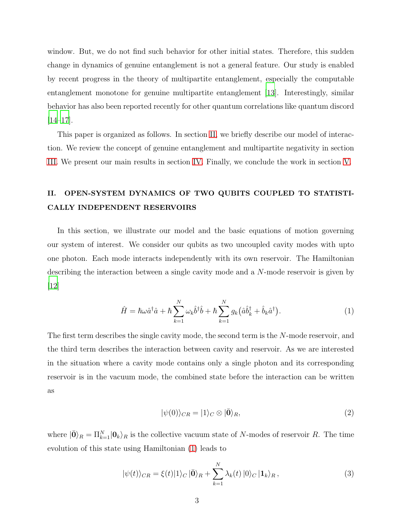window. But, we do not find such behavior for other initial states. Therefore, this sudden change in dynamics of genuine entanglement is not a general feature. Our study is enabled by recent progress in the theory of multipartite entanglement, especially the computable entanglement monotone for genuine multipartite entanglement [\[13](#page-18-2)]. Interestingly, similar behavior has also been reported recently for other quantum correlations like quantum discord  $[14–17]$  $[14–17]$ .

This paper is organized as follows. In section [II,](#page-3-0) we briefly describe our model of interaction. We review the concept of genuine entanglement and multipartite negativity in section [III.](#page-5-0) We present our main results in section [IV.](#page-6-0) Finally, we conclude the work in section [V.](#page-16-0)

## <span id="page-3-0"></span>II. OPEN-SYSTEM DYNAMICS OF TWO QUBITS COUPLED TO STATISTI-CALLY INDEPENDENT RESERVOIRS

In this section, we illustrate our model and the basic equations of motion governing our system of interest. We consider our qubits as two uncoupled cavity modes with upto one photon. Each mode interacts independently with its own reservoir. The Hamiltonian describing the interaction between a single cavity mode and a N-mode reservoir is given by  $|12|$ 

<span id="page-3-1"></span>
$$
\hat{H} = \hbar\omega\hat{a}^\dagger\hat{a} + \hbar\sum_{k=1}^N\omega_k\hat{b}^\dagger\hat{b} + \hbar\sum_{k=1}^N g_k(\hat{a}\hat{b}_k^\dagger + \hat{b}_k\hat{a}^\dagger).
$$
\n(1)

The first term describes the single cavity mode, the second term is the N-mode reservoir, and the third term describes the interaction between cavity and reservoir. As we are interested in the situation where a cavity mode contains only a single photon and its corresponding reservoir is in the vacuum mode, the combined state before the interaction can be written as

$$
|\psi(0)\rangle_{CR} = |1\rangle_C \otimes |\bar{\mathbf{0}}\rangle_R,\tag{2}
$$

where  $|\bar{0}\rangle_R = \prod_{k=1}^N |0_k\rangle_R$  is the collective vacuum state of N-modes of reservoir R. The time evolution of this state using Hamiltonian [\(1\)](#page-3-1) leads to

<span id="page-3-2"></span>
$$
|\psi(t)\rangle_{CR} = \xi(t)|1\rangle_C|\bar{\mathbf{0}}\rangle_R + \sum_{k=1}^N \lambda_k(t)|0\rangle_C|1_k\rangle_R, \qquad (3)
$$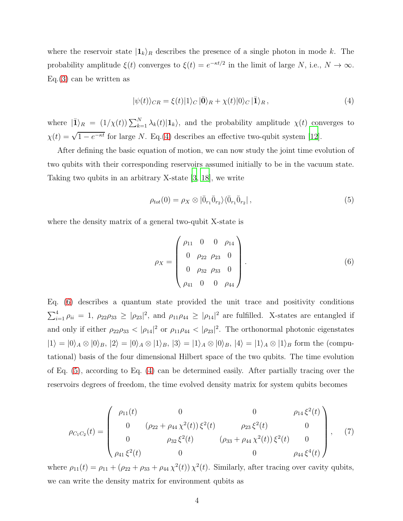where the reservoir state  $|1_k\rangle_R$  describes the presence of a single photon in mode k. The probability amplitude  $\xi(t)$  converges to  $\xi(t) = e^{-\kappa t/2}$  in the limit of large N, i.e.,  $N \to \infty$ . Eq.[\(3\)](#page-3-2) can be written as

<span id="page-4-0"></span>
$$
|\psi(t)\rangle_{CR} = \xi(t)|1\rangle_C|\bar{\mathbf{0}}\rangle_R + \chi(t)|0\rangle_C|\bar{1}\rangle_R, \tag{4}
$$

where  $|\bar{\mathbf{1}}\rangle_R = (1/\chi(t))\sum_{k=1}^N \lambda_k(t)|\mathbf{1}_k\rangle$ , and the probability amplitude  $\chi(t)$  converges to  $\chi(t) = \sqrt{1 - e^{-\kappa t}}$  for large N. Eq.[\(4\)](#page-4-0) describes an effective two-qubit system [\[12](#page-18-1)].

After defining the basic equation of motion, we can now study the joint time evolution of two qubits with their corresponding reservoirs assumed initially to be in the vacuum state. Taking two qubits in an arbitrary X-state [\[3,](#page-17-2) [18\]](#page-18-5), we write

<span id="page-4-2"></span>
$$
\rho_{tot}(0) = \rho_X \otimes |\bar{0}_{r_1}\bar{0}_{r_2}\rangle\langle\bar{0}_{r_1}\bar{0}_{r_2}|,
$$
\n(5)

where the density matrix of a general two-qubit X-state is

<span id="page-4-1"></span>
$$
\rho_X = \begin{pmatrix} \rho_{11} & 0 & 0 & \rho_{14} \\ 0 & \rho_{22} & \rho_{23} & 0 \\ 0 & \rho_{32} & \rho_{33} & 0 \\ \rho_{41} & 0 & 0 & \rho_{44} \end{pmatrix} .
$$
 (6)

Eq. [\(6\)](#page-4-1) describes a quantum state provided the unit trace and positivity conditions  $\sum_{i=1}^4 \rho_{ii} = 1$ ,  $\rho_{22}\rho_{33} \ge |\rho_{23}|^2$ , and  $\rho_{11}\rho_{44} \ge |\rho_{14}|^2$  are fulfilled. X-states are entangled if and only if either  $\rho_{22}\rho_{33} < |\rho_{14}|^2$  or  $\rho_{11}\rho_{44} < |\rho_{23}|^2$ . The orthonormal photonic eigenstates  $|1\rangle = |0\rangle_A \otimes |0\rangle_B$ ,  $|2\rangle = |0\rangle_A \otimes |1\rangle_B$ ,  $|3\rangle = |1\rangle_A \otimes |0\rangle_B$ ,  $|4\rangle = |1\rangle_A \otimes |1\rangle_B$  form the (computational) basis of the four dimensional Hilbert space of the two qubits. The time evolution of Eq. [\(5\)](#page-4-2), according to Eq. [\(4\)](#page-4-0) can be determined easily. After partially tracing over the reservoirs degrees of freedom, the time evolved density matrix for system qubits becomes

$$
\rho_{C_1C_2}(t) = \begin{pmatrix}\n\rho_{11}(t) & 0 & 0 & \rho_{14} \xi^2(t) \\
0 & (\rho_{22} + \rho_{44} \chi^2(t)) \xi^2(t) & \rho_{23} \xi^2(t) & 0 \\
0 & \rho_{32} \xi^2(t) & (\rho_{33} + \rho_{44} \chi^2(t)) \xi^2(t) & 0 \\
\rho_{41} \xi^2(t) & 0 & 0 & \rho_{44} \xi^4(t)\n\end{pmatrix},
$$
\n(7)

where  $\rho_{11}(t) = \rho_{11} + (\rho_{22} + \rho_{33} + \rho_{44} \chi^2(t)) \chi^2(t)$ . Similarly, after tracing over cavity qubits, we can write the density matrix for environment qubits as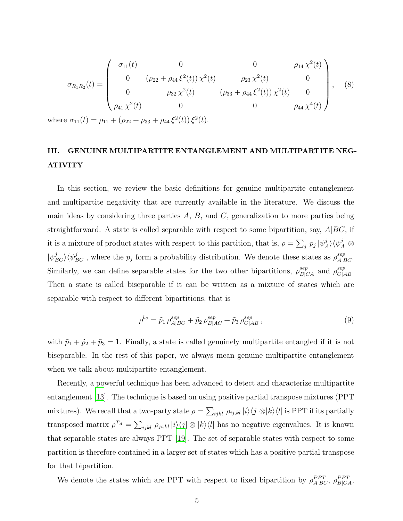$$
\sigma_{R_1R_2}(t) = \begin{pmatrix}\n\sigma_{11}(t) & 0 & 0 & \rho_{14} \chi^2(t) \\
0 & (\rho_{22} + \rho_{44} \xi^2(t)) \chi^2(t) & \rho_{23} \chi^2(t) & 0 \\
0 & \rho_{32} \chi^2(t) & (\rho_{33} + \rho_{44} \xi^2(t)) \chi^2(t) & 0 \\
\rho_{41} \chi^2(t) & 0 & 0 & \rho_{44} \chi^4(t)\n\end{pmatrix},
$$
\n(8)

where  $\sigma_{11}(t) = \rho_{11} + (\rho_{22} + \rho_{33} + \rho_{44} \xi^2(t)) \xi^2(t)$ .

## <span id="page-5-0"></span>III. GENUINE MULTIPARTITE ENTANGLEMENT AND MULTIPARTITE NEG-ATIVITY

In this section, we review the basic definitions for genuine multipartite entanglement and multipartite negativity that are currently available in the literature. We discuss the main ideas by considering three parties  $A, B$ , and  $C$ , generalization to more parties being straightforward. A state is called separable with respect to some bipartition, say,  $A|BC$ , if it is a mixture of product states with respect to this partition, that is,  $\rho = \sum_j p_j |\psi_j^j|$  $_{A}^{j}\rangle\langle\psi_{A}^{j}% \rangle\langle\psi_{A}^{j}\rangle\langle\psi_{B}^{j}\rangle\langle\psi_{B}^{j}\rangle\langle\psi_{B}^{j}\rangle\langle\psi_{B}^{j}\rangle\langle\psi_{B}^{j}\rangle\langle\psi_{B}^{j}\rangle\langle\psi_{B}^{j}\rangle\langle\psi_{B}^{j}\rangle\langle\psi_{B}^{j}\rangle\langle\psi_{B}^{j}\rangle\langle\psi_{B}^{j}\rangle\langle\psi_{B}^{j}\rangle\langle\psi_{B}^{j}\rangle\langle\psi_{B}^{j}\rangle\langle\psi_{B}^{j}\rangle\langle\psi_{B}^{j}\rangle\langle\psi_{B}^{j}\rangle\langle\$  $\mathcal{A}$ | $\otimes$  $|\psi_{BC}^j\rangle\langle\psi_{BC}^j|$ , where the  $p_j$  form a probability distribution. We denote these states as  $\rho_{A|BC}^{sep}$ . Similarly, we can define separable states for the two other bipartitions,  $\rho_{B|CA}^{sep}$  and  $\rho_{C|AB}^{sep}$ . Then a state is called biseparable if it can be written as a mixture of states which are separable with respect to different bipartitions, that is

$$
\rho^{bs} = \tilde{p}_1 \,\rho_{A|BC}^{sep} + \tilde{p}_2 \,\rho_{B|AC}^{sep} + \tilde{p}_3 \,\rho_{C|AB}^{sep} \,,\tag{9}
$$

with  $\tilde{p}_1 + \tilde{p}_2 + \tilde{p}_3 = 1$ . Finally, a state is called genuinely multipartite entangled if it is not biseparable. In the rest of this paper, we always mean genuine multipartite entanglement when we talk about multipartite entanglement.

Recently, a powerful technique has been advanced to detect and characterize multipartite entanglement [\[13](#page-18-2)]. The technique is based on using positive partial transpose mixtures (PPT mixtures). We recall that a two-party state  $\rho = \sum_{ijkl} \rho_{ij,kl} |i\rangle\langle j| \otimes |k\rangle\langle l|$  is PPT if its partially transposed matrix  $\rho^{T_A} = \sum_{ijkl} \rho_{ji,kl} |i\rangle\langle j| \otimes |k\rangle\langle l|$  has no negative eigenvalues. It is known that separable states are always PPT [\[19](#page-18-6)]. The set of separable states with respect to some partition is therefore contained in a larger set of states which has a positive partial transpose for that bipartition.

We denote the states which are PPT with respect to fixed bipartition by  $\rho_{A|BC}^{PPT}$ ,  $\rho_{B|CA}^{PPT}$ ,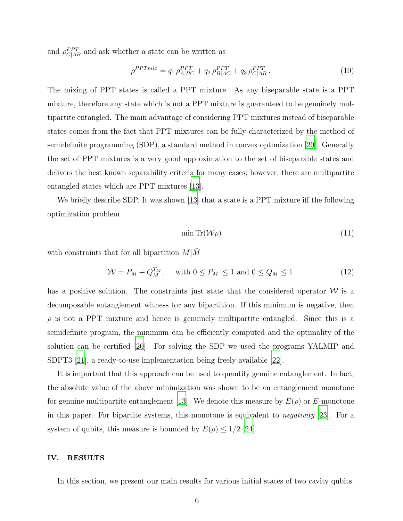and  $\rho_{C|AB}^{PPT}$  and ask whether a state can be written as

$$
\rho^{PPTmix} = q_1 \rho_{A|BC}^{PPT} + q_2 \rho_{B|AC}^{PPT} + q_3 \rho_{C|AB}^{PPT}.
$$
\n(10)

The mixing of PPT states is called a PPT mixture. As any biseparable state is a PPT mixture, therefore any state which is not a PPT mixture is guaranteed to be genuinely multipartite entangled. The main advantage of considering PPT mixtures instead of biseparable states comes from the fact that PPT mixtures can be fully characterized by the method of semidefinite programming (SDP), a standard method in convex optimization [\[20\]](#page-18-7). Generally the set of PPT mixtures is a very good approximation to the set of biseparable states and delivers the best known separability criteria for many cases; however, there are multipartite entangled states which are PPT mixtures [\[13](#page-18-2)].

We briefly describe SDP. It was shown [\[13\]](#page-18-2) that a state is a PPT mixture iff the following optimization problem

$$
\min \text{Tr}(\mathcal{W}\rho) \tag{11}
$$

with constraints that for all bipartition  $M/M$ 

$$
\mathcal{W} = P_M + Q_M^{T_M}, \quad \text{with } 0 \le P_M \le 1 \text{ and } 0 \le Q_M \le 1 \tag{12}
$$

has a positive solution. The constraints just state that the considered operator  $W$  is a decomposable entanglement witness for any bipartition. If this minimum is negative, then  $\rho$  is not a PPT mixture and hence is genuinely multipartite entangled. Since this is a semidefinite program, the minimum can be efficiently computed and the optimality of the solution can be certified [\[20\]](#page-18-7). For solving the SDP we used the programs YALMIP and SDPT3 [\[21\]](#page-18-8), a ready-to-use implementation being freely available [\[22\]](#page-18-9).

It is important that this approach can be used to quantify genuine entanglement. In fact, the absolute value of the above minimization was shown to be an entanglement monotone for genuine multipartite entanglement [\[13](#page-18-2)]. We denote this measure by  $E(\rho)$  or E-monotone in this paper. For bipartite systems, this monotone is equivalent to negativity [\[23](#page-18-10)]. For a system of qubits, this measure is bounded by  $E(\rho) \leq 1/2$  [\[24](#page-18-11)].

#### <span id="page-6-0"></span>IV. RESULTS

In this section, we present our main results for various initial states of two cavity qubits.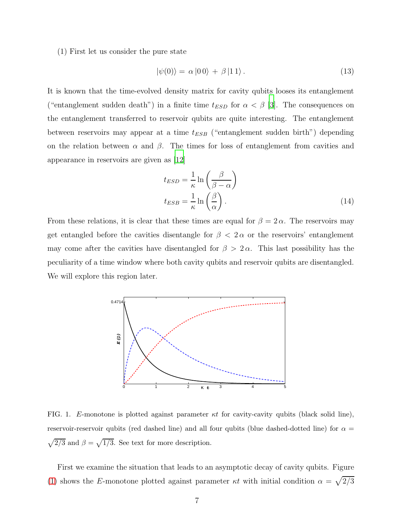(1) First let us consider the pure state

<span id="page-7-1"></span>
$$
|\psi(0)\rangle = \alpha |00\rangle + \beta |11\rangle. \tag{13}
$$

It is known that the time-evolved density matrix for cavity qubits looses its entanglement ("entanglement sudden death") in a finite time  $t_{ESD}$  for  $\alpha < \beta$  [\[3](#page-17-2)]. The consequences on the entanglement transferred to reservoir qubits are quite interesting. The entanglement between reservoirs may appear at a time  $t_{ESB}$  ("entanglement sudden birth") depending on the relation between  $\alpha$  and  $\beta$ . The times for loss of entanglement from cavities and appearance in reservoirs are given as [\[12\]](#page-18-1)

$$
t_{ESD} = \frac{1}{\kappa} \ln \left( \frac{\beta}{\beta - \alpha} \right)
$$
  

$$
t_{ESB} = \frac{1}{\kappa} \ln \left( \frac{\beta}{\alpha} \right).
$$
 (14)

From these relations, it is clear that these times are equal for  $\beta = 2 \alpha$ . The reservoirs may get entangled before the cavities disentangle for  $\beta$  <  $2\alpha$  or the reservoirs' entanglement may come after the cavities have disentangled for  $\beta > 2\alpha$ . This last possibility has the peculiarity of a time window where both cavity qubits and reservoir qubits are disentangled. We will explore this region later.



<span id="page-7-0"></span>FIG. 1. E-monotone is plotted against parameter  $\kappa t$  for cavity-cavity qubits (black solid line), reservoir-reservoir qubits (red dashed line) and all four qubits (blue dashed-dotted line) for  $\alpha =$  $\sqrt{2/3}$  and  $\beta = \sqrt{1/3}$ . See text for more description.

First we examine the situation that leads to an asymptotic decay of cavity qubits. Figure [\(1\)](#page-7-0) shows the E-monotone plotted against parameter  $\kappa t$  with initial condition  $\alpha = \sqrt{2/3}$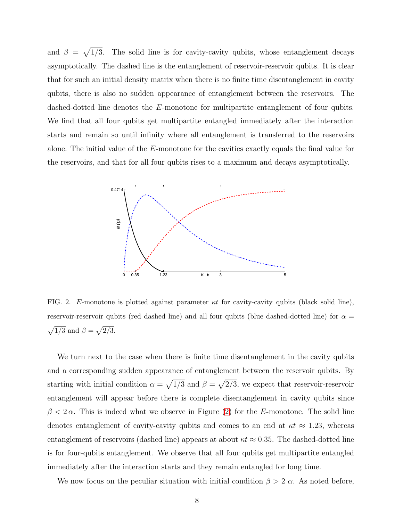and  $\beta = \sqrt{\phantom{0}}$ 1/3. The solid line is for cavity-cavity qubits, whose entanglement decays asymptotically. The dashed line is the entanglement of reservoir-reservoir qubits. It is clear that for such an initial density matrix when there is no finite time disentanglement in cavity qubits, there is also no sudden appearance of entanglement between the reservoirs. The dashed-dotted line denotes the E-monotone for multipartite entanglement of four qubits. We find that all four qubits get multipartite entangled immediately after the interaction starts and remain so until infinity where all entanglement is transferred to the reservoirs alone. The initial value of the E-monotone for the cavities exactly equals the final value for the reservoirs, and that for all four qubits rises to a maximum and decays asymptotically.



<span id="page-8-0"></span>FIG. 2. E-monotone is plotted against parameter  $\kappa t$  for cavity-cavity qubits (black solid line), reservoir-reservoir qubits (red dashed line) and all four qubits (blue dashed-dotted line) for  $\alpha =$  $\sqrt{1/3}$  and  $\beta = \sqrt{2/3}$ .

We turn next to the case when there is finite time disentanglement in the cavity qubits and a corresponding sudden appearance of entanglement between the reservoir qubits. By starting with initial condition  $\alpha = \sqrt{1/3}$  and  $\beta = \sqrt{2/3}$ , we expect that reservoir-reservoir entanglement will appear before there is complete disentanglement in cavity qubits since  $\beta < 2\alpha$ . This is indeed what we observe in Figure [\(2\)](#page-8-0) for the E-monotone. The solid line denotes entanglement of cavity-cavity qubits and comes to an end at  $\kappa t \approx 1.23$ , whereas entanglement of reservoirs (dashed line) appears at about  $\kappa t \approx 0.35$ . The dashed-dotted line is for four-qubits entanglement. We observe that all four qubits get multipartite entangled immediately after the interaction starts and they remain entangled for long time.

We now focus on the peculiar situation with initial condition  $\beta > 2 \alpha$ . As noted before,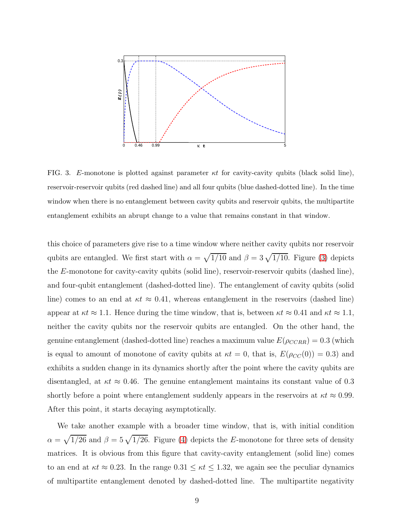

<span id="page-9-0"></span>FIG. 3. E-monotone is plotted against parameter  $\kappa t$  for cavity-cavity qubits (black solid line), reservoir-reservoir qubits (red dashed line) and all four qubits (blue dashed-dotted line). In the time window when there is no entanglement between cavity qubits and reservoir qubits, the multipartite entanglement exhibits an abrupt change to a value that remains constant in that window.

this choice of parameters give rise to a time window where neither cavity qubits nor reservoir qubits are entangled. We first start with  $\alpha = \sqrt{1/10}$  and  $\beta = 3\sqrt{1/10}$ . Figure [\(3\)](#page-9-0) depicts the E-monotone for cavity-cavity qubits (solid line), reservoir-reservoir qubits (dashed line), and four-qubit entanglement (dashed-dotted line). The entanglement of cavity qubits (solid line) comes to an end at  $\kappa t \approx 0.41$ , whereas entanglement in the reservoirs (dashed line) appear at  $\kappa t \approx 1.1$ . Hence during the time window, that is, between  $\kappa t \approx 0.41$  and  $\kappa t \approx 1.1$ , neither the cavity qubits nor the reservoir qubits are entangled. On the other hand, the genuine entanglement (dashed-dotted line) reaches a maximum value  $E(\rho_{CCRR}) = 0.3$  (which is equal to amount of monotone of cavity qubits at  $\kappa t = 0$ , that is,  $E(\rho_{CC}(0)) = 0.3$  and exhibits a sudden change in its dynamics shortly after the point where the cavity qubits are disentangled, at  $\kappa t \approx 0.46$ . The genuine entanglement maintains its constant value of 0.3 shortly before a point where entanglement suddenly appears in the reservoirs at  $\kappa t \approx 0.99$ . After this point, it starts decaying asymptotically.

We take another example with a broader time window, that is, with initial condition  $\alpha = \sqrt{1/26}$  and  $\beta = 5\sqrt{1/26}$ . Figure [\(4\)](#page-10-0) depicts the E-monotone for three sets of density matrices. It is obvious from this figure that cavity-cavity entanglement (solid line) comes to an end at  $\kappa t \approx 0.23$ . In the range  $0.31 \leq \kappa t \leq 1.32$ , we again see the peculiar dynamics of multipartite entanglement denoted by dashed-dotted line. The multipartite negativity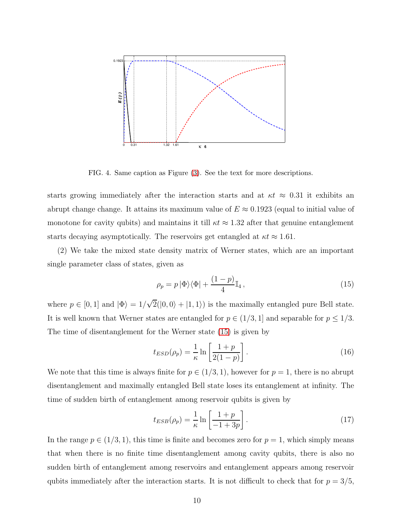

<span id="page-10-0"></span>FIG. 4. Same caption as Figure [\(3\)](#page-9-0). See the text for more descriptions.

starts growing immediately after the interaction starts and at  $\kappa t \approx 0.31$  it exhibits an abrupt change change. It attains its maximum value of  $E \approx 0.1923$  (equal to initial value of monotone for cavity qubits) and maintains it till  $\kappa t \approx 1.32$  after that genuine entanglement starts decaying asymptotically. The reservoirs get entangled at  $\kappa t \approx 1.61$ .

(2) We take the mixed state density matrix of Werner states, which are an important single parameter class of states, given as

<span id="page-10-1"></span>
$$
\rho_p = p \left| \Phi \right\rangle \left\langle \Phi \right| + \frac{(1-p)}{4} \mathbb{I}_4,
$$
\n(15)

where  $p \in [0, 1]$  and  $|\Phi\rangle = 1/\sqrt{2}(|0, 0\rangle + |1, 1\rangle)$  is the maximally entangled pure Bell state. It is well known that Werner states are entangled for  $p \in (1/3, 1]$  and separable for  $p \leq 1/3$ . The time of disentanglement for the Werner state [\(15\)](#page-10-1) is given by

$$
t_{ESD}(\rho_p) = \frac{1}{\kappa} \ln \left[ \frac{1+p}{2(1-p)} \right].
$$
\n(16)

We note that this time is always finite for  $p \in (1/3, 1)$ , however for  $p = 1$ , there is no abrupt disentanglement and maximally entangled Bell state loses its entanglement at infinity. The time of sudden birth of entanglement among reservoir qubits is given by

$$
t_{ESB}(\rho_p) = \frac{1}{\kappa} \ln \left[ \frac{1+p}{-1+3p} \right].
$$
 (17)

In the range  $p \in (1/3, 1)$ , this time is finite and becomes zero for  $p = 1$ , which simply means that when there is no finite time disentanglement among cavity qubits, there is also no sudden birth of entanglement among reservoirs and entanglement appears among reservoir qubits immediately after the interaction starts. It is not difficult to check that for  $p = 3/5$ ,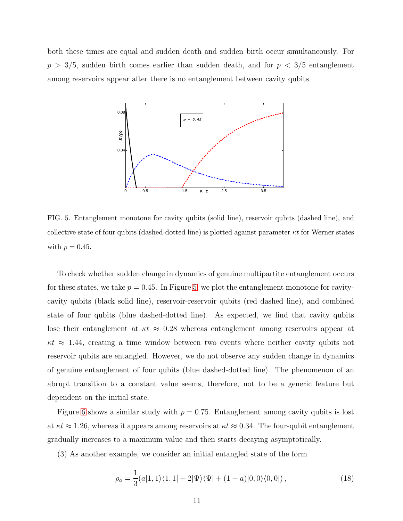both these times are equal and sudden death and sudden birth occur simultaneously. For  $p > 3/5$ , sudden birth comes earlier than sudden death, and for  $p < 3/5$  entanglement among reservoirs appear after there is no entanglement between cavity qubits.



<span id="page-11-0"></span>FIG. 5. Entanglement monotone for cavity qubits (solid line), reservoir qubits (dashed line), and collective state of four qubits (dashed-dotted line) is plotted against parameter  $\kappa t$  for Werner states with  $p = 0.45$ .

To check whether sudden change in dynamics of genuine multipartite entanglement occurs for these states, we take  $p = 0.45$ . In Figure [5,](#page-11-0) we plot the entanglement monotone for cavitycavity qubits (black solid line), reservoir-reservoir qubits (red dashed line), and combined state of four qubits (blue dashed-dotted line). As expected, we find that cavity qubits lose their entanglement at  $\kappa t \approx 0.28$  whereas entanglement among reservoirs appear at  $\kappa t \approx 1.44$ , creating a time window between two events where neither cavity qubits not reservoir qubits are entangled. However, we do not observe any sudden change in dynamics of genuine entanglement of four qubits (blue dashed-dotted line). The phenomenon of an abrupt transition to a constant value seems, therefore, not to be a generic feature but dependent on the initial state.

Figure [6](#page-12-0) shows a similar study with  $p = 0.75$ . Entanglement among cavity qubits is lost at  $\kappa t \approx 1.26$ , whereas it appears among reservoirs at  $\kappa t \approx 0.34$ . The four-qubit entanglement gradually increases to a maximum value and then starts decaying asymptotically.

(3) As another example, we consider an initial entangled state of the form

<span id="page-11-1"></span>
$$
\rho_a = \frac{1}{3}(a|1,1\rangle\langle1,1|+2|\Psi\rangle\langle\Psi|+(1-a)|0,0\rangle\langle0,0|),\tag{18}
$$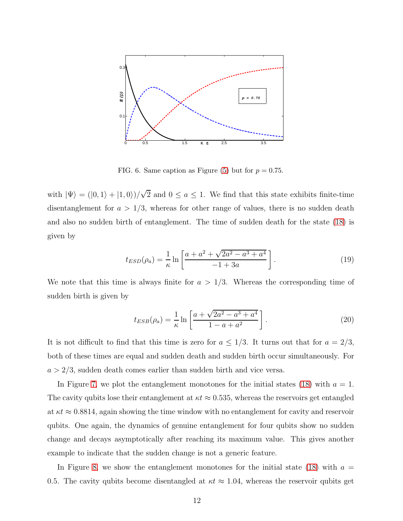

<span id="page-12-0"></span>FIG. 6. Same caption as Figure [\(5\)](#page-11-0) but for  $p = 0.75$ .

with  $|\Psi\rangle = (0, 1\rangle + |1, 0\rangle)/\sqrt{2}$  and  $0 \le a \le 1$ . We find that this state exhibits finite-time disentanglement for  $a > 1/3$ , whereas for other range of values, there is no sudden death and also no sudden birth of entanglement. The time of sudden death for the state [\(18\)](#page-11-1) is given by

$$
t_{ESD}(\rho_a) = \frac{1}{\kappa} \ln \left[ \frac{a + a^2 + \sqrt{2a^2 - a^3 + a^4}}{-1 + 3a} \right].
$$
 (19)

We note that this time is always finite for  $a > 1/3$ . Whereas the corresponding time of sudden birth is given by

$$
t_{ESB}(\rho_a) = \frac{1}{\kappa} \ln \left[ \frac{a + \sqrt{2a^2 - a^3 + a^4}}{1 - a + a^2} \right].
$$
 (20)

It is not difficult to find that this time is zero for  $a \leq 1/3$ . It turns out that for  $a = 2/3$ , both of these times are equal and sudden death and sudden birth occur simultaneously. For  $a > 2/3$ , sudden death comes earlier than sudden birth and vice versa.

In Figure [7,](#page-13-0) we plot the entanglement monotones for the initial states [\(18\)](#page-11-1) with  $a = 1$ . The cavity qubits lose their entanglement at  $\kappa t \approx 0.535$ , whereas the reservoirs get entangled at  $\kappa t \approx 0.8814$ , again showing the time window with no entanglement for cavity and reservoir qubits. One again, the dynamics of genuine entanglement for four qubits show no sudden change and decays asymptotically after reaching its maximum value. This gives another example to indicate that the sudden change is not a generic feature.

In Figure [8,](#page-13-1) we show the entanglement monotones for the initial state [\(18\)](#page-11-1) with  $a =$ 0.5. The cavity qubits become disentangled at  $\kappa t \approx 1.04$ , whereas the reservoir qubits get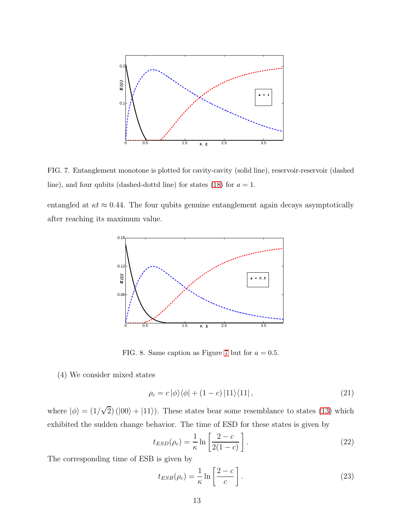

<span id="page-13-0"></span>FIG. 7. Entanglement monotone is plotted for cavity-cavity (solid line), reservoir-reservoir (dashed line), and four qubits (dashed-dottd line) for states [\(18\)](#page-11-1) for  $a = 1$ .

entangled at  $\kappa t \approx 0.44$ . The four qubits genuine entanglement again decays asymptotically after reaching its maximum value.



<span id="page-13-1"></span>FIG. 8. Same caption as Figure [7](#page-13-0) but for  $a = 0.5$ .

(4) We consider mixed states

<span id="page-13-2"></span>
$$
\rho_c = c |\phi\rangle\langle\phi| + (1 - c) |11\rangle\langle11| \,,\tag{21}
$$

where  $|\phi\rangle = (1/\sqrt{2}) (|00\rangle + |11\rangle)$ . These states bear some resemblance to states [\(13\)](#page-7-1) which exhibited the sudden change behavior. The time of ESD for these states is given by

$$
t_{ESD}(\rho_c) = \frac{1}{\kappa} \ln \left[ \frac{2 - c}{2(1 - c)} \right].
$$
 (22)

The corresponding time of ESB is given by

$$
t_{ESB}(\rho_c) = \frac{1}{\kappa} \ln \left[ \frac{2 - c}{c} \right].
$$
 (23)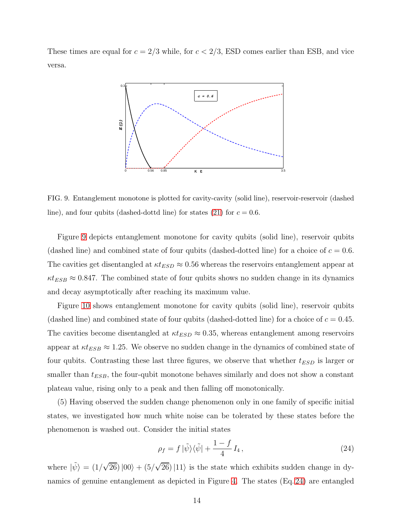These times are equal for  $c = 2/3$  while, for  $c < 2/3$ , ESD comes earlier than ESB, and vice versa.



<span id="page-14-0"></span>FIG. 9. Entanglement monotone is plotted for cavity-cavity (solid line), reservoir-reservoir (dashed line), and four qubits (dashed-dottd line) for states [\(21\)](#page-13-2) for  $c = 0.6$ .

Figure [9](#page-14-0) depicts entanglement monotone for cavity qubits (solid line), reservoir qubits (dashed line) and combined state of four qubits (dashed-dotted line) for a choice of  $c = 0.6$ . The cavities get disentangled at  $\kappa t_{ESD} \approx 0.56$  whereas the reservoirs entanglement appear at  $\kappa t_{ESB} \approx 0.847$ . The combined state of four qubits shows no sudden change in its dynamics and decay asymptotically after reaching its maximum value.

Figure [10](#page-15-0) shows entanglement monotone for cavity qubits (solid line), reservoir qubits (dashed line) and combined state of four qubits (dashed-dotted line) for a choice of  $c = 0.45$ . The cavities become disentangled at  $\kappa t_{ESD} \approx 0.35$ , whereas entanglement among reservoirs appear at  $\kappa t_{ESB} \approx 1.25$ . We observe no sudden change in the dynamics of combined state of four qubits. Contrasting these last three figures, we observe that whether  $t_{ESD}$  is larger or smaller than  $t_{ESB}$ , the four-qubit monotone behaves similarly and does not show a constant plateau value, rising only to a peak and then falling off monotonically.

(5) Having observed the sudden change phenomenon only in one family of specific initial states, we investigated how much white noise can be tolerated by these states before the phenomenon is washed out. Consider the initial states

<span id="page-14-1"></span>
$$
\rho_f = f |\tilde{\psi}\rangle\langle\tilde{\psi}| + \frac{1-f}{4} I_4,\tag{24}
$$

where  $|\tilde{\psi}\rangle = (1/\sqrt{26})|00\rangle + (5/\sqrt{26})|11\rangle$  is the state which exhibits sudden change in dynamics of genuine entanglement as depicted in Figure [4.](#page-10-0) The states (Eq. [24\)](#page-14-1) are entangled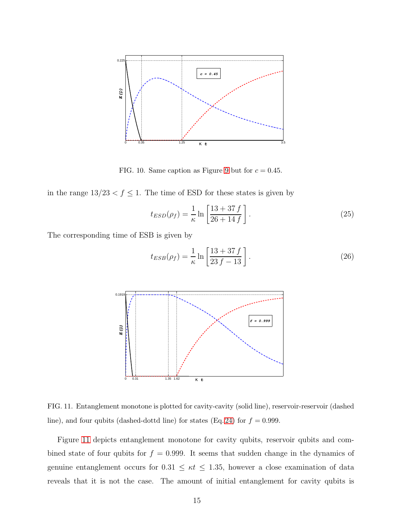

<span id="page-15-0"></span>FIG. 10. Same caption as Figure [9](#page-14-0) but for  $c = 0.45$ .

in the range  $13/23 < f \le 1$ . The time of ESD for these states is given by

$$
t_{ESD}(\rho_f) = \frac{1}{\kappa} \ln \left[ \frac{13 + 37 f}{26 + 14 f} \right].
$$
 (25)

The corresponding time of ESB is given by

$$
t_{ESB}(\rho_f) = \frac{1}{\kappa} \ln \left[ \frac{13 + 37 f}{23 f - 13} \right].
$$
 (26)



<span id="page-15-1"></span>FIG. 11. Entanglement monotone is plotted for cavity-cavity (solid line), reservoir-reservoir (dashed line), and four qubits (dashed-dottd line) for states (Eq. [24\)](#page-14-1) for  $f = 0.999$ .

Figure [11](#page-15-1) depicts entanglement monotone for cavity qubits, reservoir qubits and combined state of four qubits for  $f = 0.999$ . It seems that sudden change in the dynamics of genuine entanglement occurs for  $0.31 \le \kappa t \le 1.35$ , however a close examination of data reveals that it is not the case. The amount of initial entanglement for cavity qubits is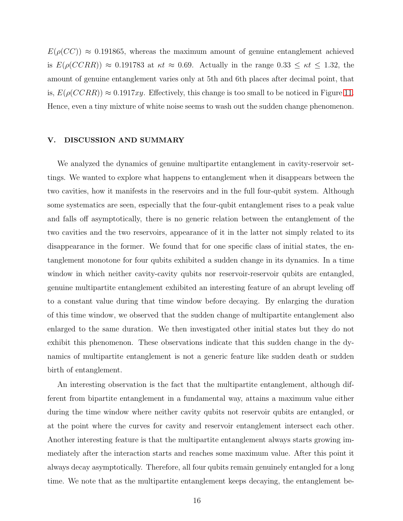$E(\rho(CC)) \approx 0.191865$ , whereas the maximum amount of genuine entanglement achieved is  $E(\rho(CCRR)) \approx 0.191783$  at  $\kappa t \approx 0.69$ . Actually in the range  $0.33 \leq \kappa t \leq 1.32$ , the amount of genuine entanglement varies only at 5th and 6th places after decimal point, that is,  $E(\rho(CCRR)) \approx 0.1917xy$ . Effectively, this change is too small to be noticed in Figure [11.](#page-15-1) Hence, even a tiny mixture of white noise seems to wash out the sudden change phenomenon.

### <span id="page-16-0"></span>V. DISCUSSION AND SUMMARY

We analyzed the dynamics of genuine multipartite entanglement in cavity-reservoir settings. We wanted to explore what happens to entanglement when it disappears between the two cavities, how it manifests in the reservoirs and in the full four-qubit system. Although some systematics are seen, especially that the four-qubit entanglement rises to a peak value and falls off asymptotically, there is no generic relation between the entanglement of the two cavities and the two reservoirs, appearance of it in the latter not simply related to its disappearance in the former. We found that for one specific class of initial states, the entanglement monotone for four qubits exhibited a sudden change in its dynamics. In a time window in which neither cavity-cavity qubits nor reservoir-reservoir qubits are entangled, genuine multipartite entanglement exhibited an interesting feature of an abrupt leveling off to a constant value during that time window before decaying. By enlarging the duration of this time window, we observed that the sudden change of multipartite entanglement also enlarged to the same duration. We then investigated other initial states but they do not exhibit this phenomenon. These observations indicate that this sudden change in the dynamics of multipartite entanglement is not a generic feature like sudden death or sudden birth of entanglement.

An interesting observation is the fact that the multipartite entanglement, although different from bipartite entanglement in a fundamental way, attains a maximum value either during the time window where neither cavity qubits not reservoir qubits are entangled, or at the point where the curves for cavity and reservoir entanglement intersect each other. Another interesting feature is that the multipartite entanglement always starts growing immediately after the interaction starts and reaches some maximum value. After this point it always decay asymptotically. Therefore, all four qubits remain genuinely entangled for a long time. We note that as the multipartite entanglement keeps decaying, the entanglement be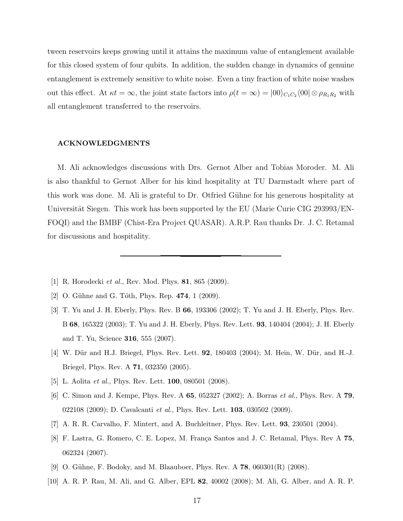tween reservoirs keeps growing until it attains the maximum value of entanglement available for this closed system of four qubits. In addition, the sudden change in dynamics of genuine entanglement is extremely sensitive to white noise. Even a tiny fraction of white noise washes out this effect. At  $\kappa t = \infty$ , the joint state factors into  $\rho(t = \infty) = |00\rangle_{C_1C_2}\langle 00| \otimes \rho_{R_1R_2}$  with all entanglement transferred to the reservoirs.

#### ACKNOWLEDGMENTS

M. Ali acknowledges discussions with Drs. Gernot Alber and Tobias Moroder. M. Ali is also thankful to Gernot Alber for his kind hospitality at TU Darmstadt where part of this work was done. M. Ali is grateful to Dr. Otfried Gühne for his generous hospitality at Universität Siegen. This work has been supported by the EU (Marie Curie CIG 293993/EN-FOQI) and the BMBF (Chist-Era Project QUASAR). A.R.P. Rau thanks Dr. J. C. Retamal for discussions and hospitality.

- <span id="page-17-0"></span>[1] R. Horodecki *et al.*, Rev. Mod. Phys. **81**, 865 (2009).
- <span id="page-17-1"></span>[2] O. Gühne and G. Tóth, Phys. Rep.  $474$ , 1 (2009).
- <span id="page-17-2"></span>[3] T. Yu and J. H. Eberly, Phys. Rev. B 66, 193306 (2002); T. Yu and J. H. Eberly, Phys. Rev. B 68, 165322 (2003); T. Yu and J. H. Eberly, Phys. Rev. Lett. 93, 140404 (2004); J. H. Eberly and T. Yu, Science 316, 555 (2007).
- [4] W. Dür and H.J. Briegel, Phys. Rev. Lett. **92**, 180403 (2004); M. Hein, W. Dür, and H.-J. Briegel, Phys. Rev. A 71, 032350 (2005).
- <span id="page-17-3"></span>[5] L. Aolita *et al.*, Phys. Rev. Lett. **100**, 080501 (2008).
- [6] C. Simon and J. Kempe, Phys. Rev. A 65, 052327 (2002); A. Borras et al., Phys. Rev. A 79, 022108 (2009); D. Cavalcanti et al., Phys. Rev. Lett. **103**, 030502 (2009).
- <span id="page-17-4"></span>[7] A. R. R. Carvalho, F. Mintert, and A. Buchleitner, Phys. Rev. Lett. 93, 230501 (2004).
- [8] F. Lastra, G. Romero, C. E. Lopez, M. França Santos and J. C. Retamal, Phys. Rev A 75, 062324 (2007).
- <span id="page-17-5"></span>[9] O. Gühne, F. Bodoky, and M. Blaauboer, Phys. Rev. A  $78$ , 060301(R) (2008).
- [10] A. R. P. Rau, M. Ali, and G. Alber, EPL 82, 40002 (2008); M. Ali, G. Alber, and A. R. P.